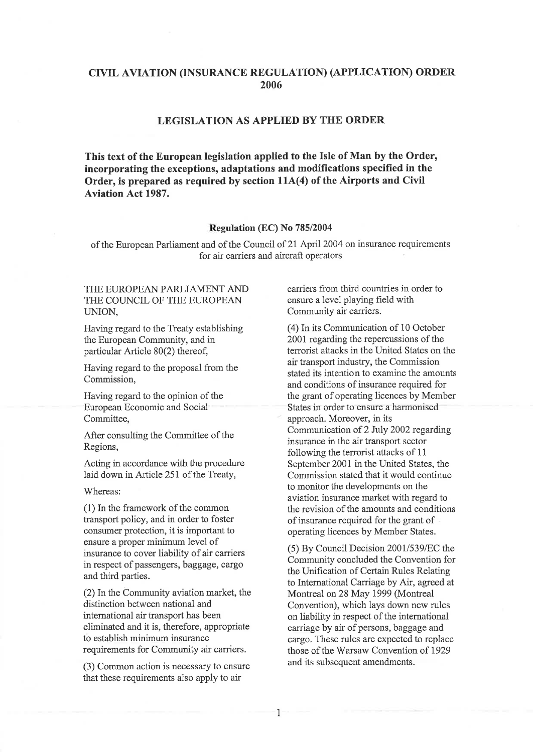# CIVIL AVIATION (INSURANCE REGULATION) (APPLICATION) ORDER 2006

## LEGISLATION AS APPLIED BY TIIE ORDER

This text of the European legislation applied to the Isle of Man by the Order, incorporating the exceptions, adaptations and modifïcations specified in the Order, is prepared as required by section 114(4) of the Airports and Civil Aviation Act 1987.

## Regulation (EC) No 785/2004

of the European Parliament and of the Council of 21 April 2004 on insurance requirements for air carriers and aircraft operators

## THE EUROPEAN PARLIAMENT AND THE COUNCIL OF THE EUROPEAN UNION,

Having regard to the Treaty establishing the European Community, and in particular Article 80(2) thereof,

Having regard to the proposal from the Commission,

Having regard to the opinion of the European Economic and Social Committee,

After consulting the Committee of the Regions,

Acting in accordance with the procedure laid down in Article 251 of the Treaty,

Whereas:

(1) In the framework of the common transport policy, and in order to foster consumer protection, it is important to ensure a proper minimum level of insurance to cover liability of air carriers in respect of passengers, baggage, cargo and third parties.

(2) In the Community aviation market, the distinction between national and international air transport has been eliminated and it is, therefore, appropriate to establish minimum insurance requirements for Community air carriers.

(3) Common action is necessary to ensure that these requirements also apply to air

carriers from third countries in order to ensure a level playing freld with Community air carriers.

(4) In its Communication of 10 October 2001 regarding the repercussions of the terrorist attacks in the United States on the air transport industry, the Commission stated its intention to examine the amounts and conditions of insurance required for the grant of operating licences by Member States in order to ensure a harmonised approach. Moreover, in its Communication of 2 July 2002 regarding insurance in the air transport sector following the terrorist attacks of <sup>11</sup> September 2001 in the United States, the Commission stated that it would continue to monitor the developments on the aviation insurance market with regard to the revision of the amounts and conditions of insurance required for the grant of operating licences by Member States.

 $(5)$  By Council Decision 2001/539/EC the Community concluded the Convention for the Unification of Certain Rules Relating to International Carriage by Air, agreed at Montreal on 28 May 1999 (Montreal Convention), which lays down new rules on liability in respect of the international carriage by air of persons, baggage and cargo. These rules are expected to replace those of the Warsaw Convention of 1929 and its subsequent amendments.

1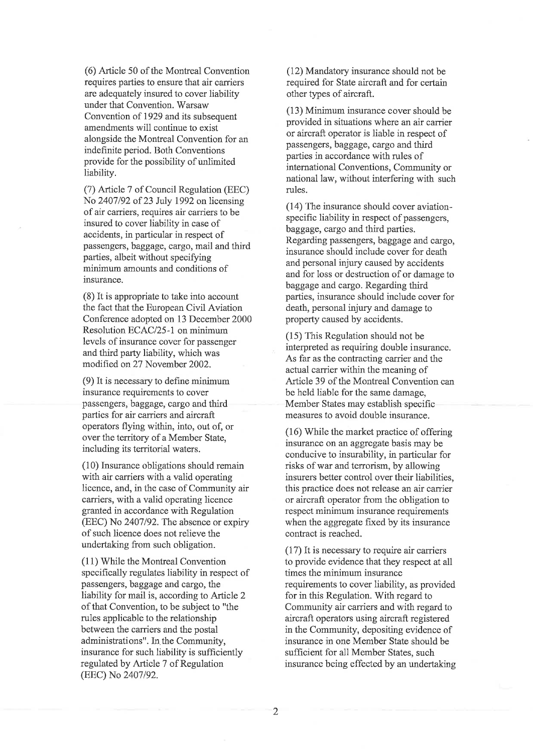(6) Article 50 of the Montreal Convention requires parties to ensure that air carriers are adequately insured to cover liability under that Convention. Warsaw Convention of 1929 and its subsequent amendments will continue to exist alongside the Montreal Convention for an indefrnite period. Both Conventions provide for the possibility of unlimited liability.

(7) Article 7 of Council Regulation (EEC) No 2407/92 of 23 July 1992 on licensing of air carriers, requires air carriers to be insured to cover liability in case of accidents, in particular in respect of passengers, baggage, cargo, mail and third parties, albeit without specifying minimum amounts and conditions of insurance.

(8) It is appropriate to take into account the fact that the European Civil Aviation Conference adopted on 13 December 2000 Resolution ECAC/25-1 on minimum levels of insurance cover for passenger and third party liability, which was modified on 27 November 2002.

 $(9)$  It is necessary to define minimum insurance requirements to cover passengers, baggage, cargo and third parties for air carriers and aircraft operators flying within, into, out of, or over the territory of a Member State, including its territorial waters.

(10) Insurance obligations should remain with air carriers with a valid operating licence, and, in the case of Community air carriers, with a valid operating licence granted in accordance with Regulation (EEC) No 2407/92. The absence or expiry of such licence does not relieve the undertaking from such obligation.

(11) While the Montreal Convention specifically regulates liability in respect of passengers, baggage and cargo, the liability for mail is, according to Article 2 of that Convention, to be subject to "the rules applicable to the relationship between the carriers and the postal administrations". In. the Community, insurance for such liability is sufficiently regulated by Article 7 of Regulation (EEC) No 2407/92.

(12) Mandatory insurance should not be required for State atrcraft and for certain other types of aircraft.

(13) Minimum insurance cover should be provided in situations where an air carrier or aircraft operator is liable in respect of passengers, baggage, cargo and third parties in accordance with rules of international Conventions, Community or national law, without interfering wíth such rules.

(1a) The insurance should cover aviationspecific liability in respect of passengers, baggage, cargo and third parties. Regarding passengers, baggage and cargo, insurance should include cover for death and personal injury caused by accidents and for loss or destruction of or damage to baggage and cargo. Regarding third parties, insurance should include cover for death, personal injury and damage to property caused by accidents.

(15) This Regulation should not be interpreted as requiring double insurance. As far as the contracting carrier and the actual carrier within the meaning of Article 39 of the Montreal Convention can be held liable for the same damage, Member States may establish specific measures to avoid double insurance.

(16) While the market practice of offering insurance on an aggregate basis may be conducive to insurability, in particular for risks of war and terrorism, by allowing insurers better control over their liabilities, this practice does not release an air carrier or aircraft operator from the obligation to respect minimum insurance requirements when the aggregate fixed by its insurance contract is reached.

(17)It is necessary to require air carriers to provide evidence that they respect at all times the minimum insurance requirements to cover liability, as provided for in this Regulation. With regard to Community air carriers and with regard to aircraft operators using aircraft registered in the Community, depositing evidence of insurance in one Member State should be sufficient for all Member States, such insurance being effected by an undertaking

2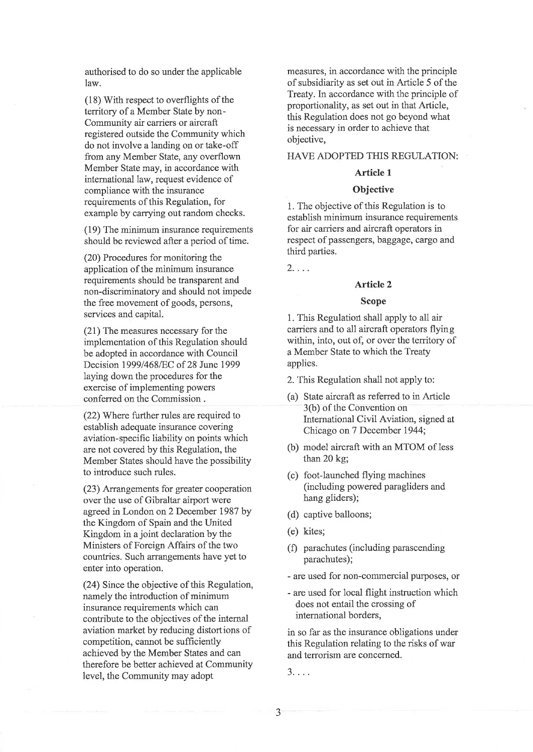authorised to do so under the applicable law.

(18) With respect to overflights of the territory of a Member State by non-Community air carriers or aircraft registered outside the Community which do not involve a landing on or take-off from any Member State, any overflown Member State may, in accordance with international law, request evidence of compliance with the insurance requirements of this Regulation, for example by carrying out random checks.

(19) The minimum insurance requirements should be reviewed after a period of time.

(20) Procedures for monitoring the application of the minimum insurance requirements should be transparent and non-discriminatory and should not impede the free movement of goods, persons, services and capital.

(21) The measures necessary for the implementation of this Regulation should be adopted in accordance with Council Decision 19991468/EC of 28 June 1999 laying down the procedures for the exercise of implementing powers conferred on the Commission .

(22) Where further rules are required to establish adequate insurance covering aviation-specific liability on points which are not covered by this Regulation, the Member States should have the possibility to introduce such rules.

(23) Arrangements for greater cooperation over the use of Gibraltar airport were agreed in London on 2 December 1987 by the Kingdom of Spain and the United Kingdom in a joint declaration by the Ministers of Foreign Affairs of the two countries. Such arrangements have yet to enter into operation.

(24) Since the objective of this Regulation, namely the introduction of minimum insurance requirements which can contribute to the objectives of the internal aviation market by reducing distortions of competition, camot be sufficientþ achieved by the Member States and can therefore be better achieved at Community level, the Community may adopt

measures, in accordance with the principle of subsidiarity as set out in Article 5 of the Treaty. In accordance with the principle of proportionality, as set out in that Article, this Regulation does not go beyond what is necessary in order to achieve that objective,

### HAVE ADOPTED THIS REGULATION:

### Article <sup>1</sup>

## **Objective**

1. The objective of this Regulation is to establish minimum insurance requirements for air carriers and aircraft operators in respect of passengers, baggage, cargo and third parties.

 $2. \ldots$ 

### Article 2

#### Scope

1. This Regulation shall apply to all air carriers and to all aircraft operators flying within, into, out of, or over the territory of a Member State to which the Treaty applies.

- 2. This Regulation shall not apply to:
- (a) State aircraft as referred to in Article 3(b) of the Convention on International Civil Aviation, signed at Chicago on 7 December 1944;
- (b) model aircraft with an MTOM of less than 20 kg;
- (c) foot-launched flying machines (including powered paragliders and hang gliders);
- (d) captive balloons;
- (e) kites;
- (f) parachutes (including parascending parachutes);
- are used for non-commercial purposes, or
- are used for local flight instruction which does not entail the crossing of international borders,

in so far as the insurance obligations under this Regulation relating to the risks of war and terrorism are concerned.

3....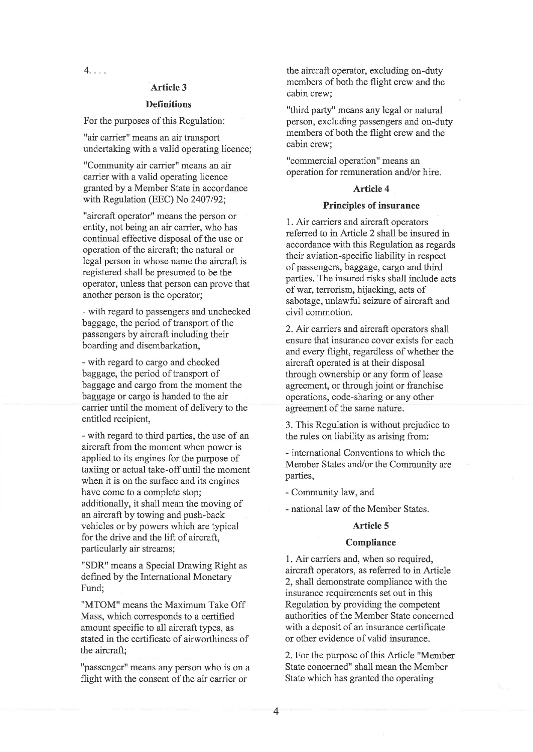4....

## Article 3

### **Definitions**

For the purposes of this Regulation:

"air carrier" means an air transport undertaking with a valid operating licence;

"Community air carrier" means an air carrier with a valid operating licence granted by a Member State in accordance with Regulation (EEC) No 2407/92;

"aircraft operator" means the person or entity, not being an air carrier, who has continual effective disposal of the use or operation of the aircraft; the natural or legal person in whose name the aircraft is registered shall be presumed to be the operator, unless that person can prove that another person is the operator;

- with regard to passengers and unchecked baggage, the period of transport of the passengers by aircraft including their boarding and disembarkation,

- with regard to cargo and checked baggage, the period of transport of baggage and cargo from the moment the baggage or cargo is handed to the air carrier until the moment of delivery to the entitled recipient,

- with regard to third parties, the use of an aircraft from the moment when power is applied to its engines for the purpose of taxiing or actual take-off until the moment when it is on the surface and its engines have come to a complete stop; additionally, it shall mean the moving of an aircraft by towing and push-back vehicles or by powers which are typical for the drive and the lift of aircraft, particularly air streams;

"SDR" means a Special Drawing Right as defined by the International Monetary Fund;

"MTOM" means the Maximum Take Off Mass, which corresponds to a certified amount specific to all aircraft types, as stated in the certificate of airworthiness of the aircraft:

"passenger" means any person who is on a flight with the consent of the air carrier or

the aircraft operator, excluding on-duty members of both the flight crew and the cabin crew;

"third party" means any legal or natural person, excluding passengers and on-duty members of both the flight crew and the cabin crew;

"commercial operation" means an operation for remuneration and/or hire.

## Article 4

### Principles of insurance

1. Air carriers and aircraft operators referred to in Article 2 shall be insured in accordance with this Regulation as regards their aviation-specific liability in respect of passengers, baggage, cargo and third parties. The insured risks shall include acts of war, terrorism, hijacking, acts of sabotage, unlawful seizure of aircraft and civil commotion.

2. Air carriers and aircraft operators shall ensure that insurance cover exists for each and every flight, regardless of whether the aircraft operated is at their disposal through ownership or any form of lease agreement, or through joint or franchise operations, code-sharing or any other agreement of the same nature.

3. This Regulation is without prejudice to the rules on liability as arising from:

- international Conventions to which the Member States and/or the Community are parties,

- Community law, and

- national law of the Member States.

## Article 5

#### **Compliance**

1. Air carriers and, when so required, aircraft operators, as referred to in Article 2, shall demonstrate compliance with the insurance requirements set out in this Regulation by providing the competent authorities of the Member State concerned with a deposit of an insurance certificate or other evidence of valid insurance.

2.For the purpose of this Article "Member State concerned" shall mean the Member State which has granted the operating

4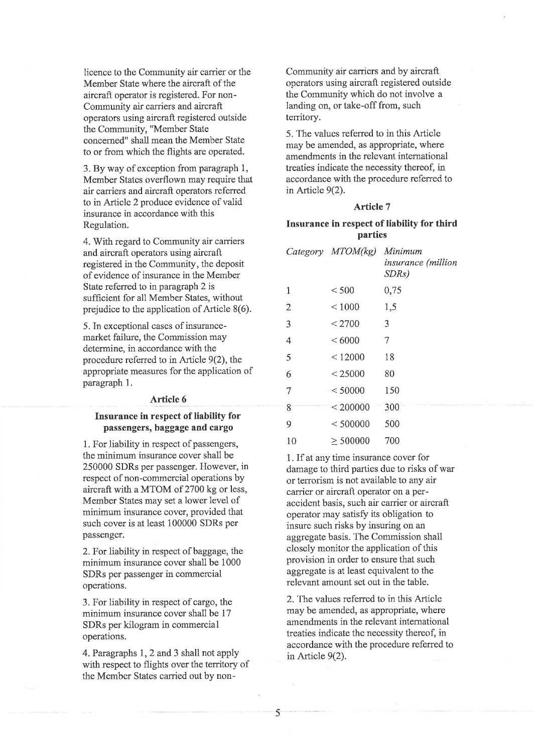licence to the Community air carrier or the Member State where the aircraft of the aircraft operator is registered. For non-Community air carriers and aircraft operators using aircraft registered outside the Communify, "Member State concerned" shall mean the Member State to or from which the flights are operated.

3. By way of exception from paragraph 1, Member States overflown may require that air carriers and aircraft operators referred to in Article 2 produce evidence of valid insurance in accordance with this Regulation.

4. With regard to Community air carriers and aircraft operators using aircraft registered in the Community, the deposit of evidence of insurance in the Member State referred to in paragraph 2 is sufficient for all Member States, without prejudice to the application of Article 8(6).

5. In exceptional cases of insurancemarket failure, the Commission may determine, in accordance with the procedure referred to in Article  $9(2)$ , the appropriate measures for the application of paragraph 1.

#### Article 6

## Insurance in respect of liability for passengers, baggage and cargo

1. For liability in respect of passengers, the minimum insurance cover shall be 250000 SDRs per passenger. However, in respect of non-commercial operations by aircraft with a MTOM of 2700 kg or less, Member States may set a lower level of minimum insurance cover, provided that such cover is at least 100000 SDRs per passenger.

2. For liability in respect of baggage, the minimum insurance cover shall be 1000 SDRs per passenger in commercial operations.

3. For liability in respect of cargo, the minimum insurance cover shall be 17 SDRs per kilogram in commercial operations.

4.Paragraphs 1, 2 and 3 shall not apply with respect to flights over the territory of the Member States carried out by nonCommunity air carriers and by aircraft. operators using aircraft registered outside the Community which do not involve a landing on, or take-off from, such territory.

5. The values referred to in this Article may be amended, as appropriate, where amendments in the relevant international treaties indicate the necessity thereof, in accordance with the procedure referred to in Article 9(2).

### Article 7

## Insurance in respect of liability for third parties

|                | Category MTOM(kg) | Minimum<br>insurance (million<br>SDRs) |
|----------------|-------------------|----------------------------------------|
| 1              | < 500             | 0,75                                   |
| $\overline{2}$ | ${}< 1000$        | 1,5                                    |
| 3              | < 2700            | 3                                      |
| 4              | <6000             | 7                                      |
| 5              | < 12000           | 18                                     |
| 6              | < 25000           | 80                                     |
| 7              | < 50000           | 150                                    |
| 8              | < 200000          | 300                                    |
| 9              | < 500000          | 500                                    |
| 10             | $\geq 500000$     | 700                                    |

1. If at any time insurance cover for damage to third parties due to risks of war or terrorism is not available to any air carrier or aircraft operator on a peraccident basis, such air carrier or aircraft operator may satisfy its obligation to insure such risks by insuring on an aggregate basis. The Commission shall closely monitor the application of this provision in order to ensure that such aggregale is at least equivalent to the relevant amount set out in the table.

2.The values referred to in this Article may be amended, as appropriate, where amendments in the relevant international treaties indicate the necessity thereof, in accordance with the procedure referred to in Article 9(2).